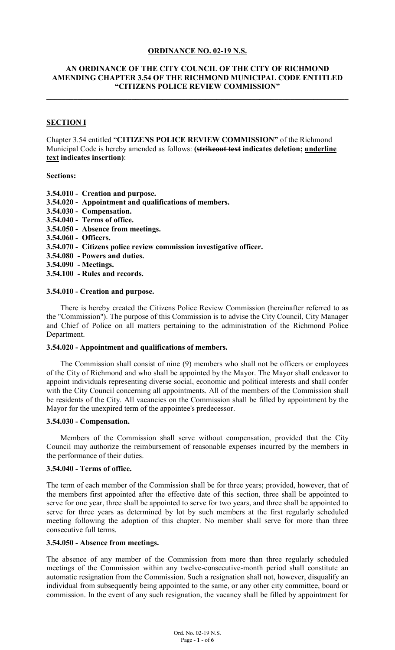## **ORDINANCE NO. 02-19 N.S.**

### **AN ORDINANCE OF THE CITY COUNCIL OF THE CITY OF RICHMOND AMENDING CHAPTER 3.54 OF THE RICHMOND MUNICIPAL CODE ENTITLED "CITIZENS POLICE REVIEW COMMISSION"**

**\_\_\_\_\_\_\_\_\_\_\_\_\_\_\_\_\_\_\_\_\_\_\_\_\_\_\_\_\_\_\_\_\_\_\_\_\_\_\_\_\_\_\_\_\_\_\_\_\_\_\_\_\_\_\_\_\_\_\_\_\_\_\_\_\_\_\_\_\_\_\_\_\_\_\_\_\_\_**

# **SECTION I**

Chapter 3.54 entitled "**CITIZENS POLICE REVIEW COMMISSION"** of the Richmond Municipal Code is hereby amended as follows: **(strikeout text indicates deletion; underline text indicates insertion)**:

#### **Sections:**

- **3.54.010 Creation and purpose.**
- **3.54.020 Appointment and qualifications of members.**
- **3.54.030 Compensation.**
- **3.54.040 Terms of office.**
- **3.54.050 Absence from meetings.**
- **3.54.060 Officers.**
- **3.54.070 Citizens police review commission investigative officer.**
- **3.54.080 Powers and duties.**
- **3.54.090 Meetings.**
- **3.54.100 Rules and records.**

#### **3.54.010 - Creation and purpose.**

There is hereby created the Citizens Police Review Commission (hereinafter referred to as the "Commission"). The purpose of this Commission is to advise the City Council, City Manager and Chief of Police on all matters pertaining to the administration of the Richmond Police Department.

#### **3.54.020 - Appointment and qualifications of members.**

The Commission shall consist of nine (9) members who shall not be officers or employees of the City of Richmond and who shall be appointed by the Mayor. The Mayor shall endeavor to appoint individuals representing diverse social, economic and political interests and shall confer with the City Council concerning all appointments. All of the members of the Commission shall be residents of the City. All vacancies on the Commission shall be filled by appointment by the Mayor for the unexpired term of the appointee's predecessor.

#### **3.54.030 - Compensation.**

Members of the Commission shall serve without compensation, provided that the City Council may authorize the reimbursement of reasonable expenses incurred by the members in the performance of their duties.

### **3.54.040 - Terms of office.**

The term of each member of the Commission shall be for three years; provided, however, that of the members first appointed after the effective date of this section, three shall be appointed to serve for one year, three shall be appointed to serve for two years, and three shall be appointed to serve for three years as determined by lot by such members at the first regularly scheduled meeting following the adoption of this chapter. No member shall serve for more than three consecutive full terms.

## **3.54.050 - Absence from meetings.**

The absence of any member of the Commission from more than three regularly scheduled meetings of the Commission within any twelve-consecutive-month period shall constitute an automatic resignation from the Commission. Such a resignation shall not, however, disqualify an individual from subsequently being appointed to the same, or any other city committee, board or commission. In the event of any such resignation, the vacancy shall be filled by appointment for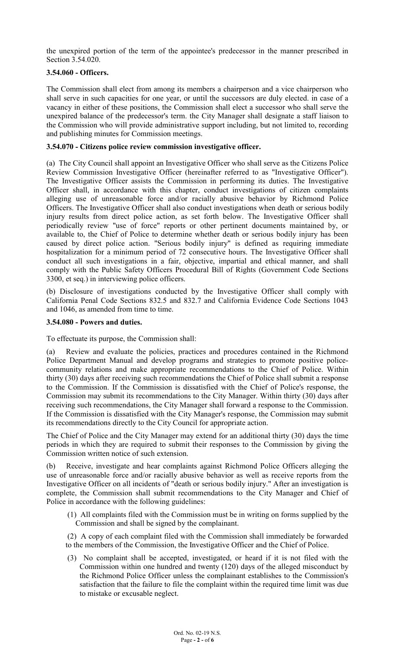the unexpired portion of the term of the appointee's predecessor in the manner prescribed in Section 3.54.020.

# **3.54.060 - Officers.**

The Commission shall elect from among its members a chairperson and a vice chairperson who shall serve in such capacities for one year, or until the successors are duly elected. in case of a vacancy in either of these positions, the Commission shall elect a successor who shall serve the unexpired balance of the predecessor's term. the City Manager shall designate a staff liaison to the Commission who will provide administrative support including, but not limited to, recording and publishing minutes for Commission meetings.

# **3.54.070 - Citizens police review commission investigative officer.**

(a) The City Council shall appoint an Investigative Officer who shall serve as the Citizens Police Review Commission Investigative Officer (hereinafter referred to as "Investigative Officer"). The Investigative Officer assists the Commission in performing its duties. The Investigative Officer shall, in accordance with this chapter, conduct investigations of citizen complaints alleging use of unreasonable force and/or racially abusive behavior by Richmond Police Officers. The Investigative Officer shall also conduct investigations when death or serious bodily injury results from direct police action, as set forth below. The Investigative Officer shall periodically review "use of force" reports or other pertinent documents maintained by, or available to, the Chief of Police to determine whether death or serious bodily injury has been caused by direct police action. "Serious bodily injury" is defined as requiring immediate hospitalization for a minimum period of 72 consecutive hours. The Investigative Officer shall conduct all such investigations in a fair, objective, impartial and ethical manner, and shall comply with the Public Safety Officers Procedural Bill of Rights (Government Code Sections 3300, et seq.) in interviewing police officers.

(b) Disclosure of investigations conducted by the Investigative Officer shall comply with California Penal Code Sections 832.5 and 832.7 and California Evidence Code Sections 1043 and 1046, as amended from time to time.

# **3.54.080 - Powers and duties.**

To effectuate its purpose, the Commission shall:

(a) Review and evaluate the policies, practices and procedures contained in the Richmond Police Department Manual and develop programs and strategies to promote positive policecommunity relations and make appropriate recommendations to the Chief of Police. Within thirty (30) days after receiving such recommendations the Chief of Police shall submit a response to the Commission. If the Commission is dissatisfied with the Chief of Police's response, the Commission may submit its recommendations to the City Manager. Within thirty (30) days after receiving such recommendations, the City Manager shall forward a response to the Commission. If the Commission is dissatisfied with the City Manager's response, the Commission may submit its recommendations directly to the City Council for appropriate action.

The Chief of Police and the City Manager may extend for an additional thirty (30) days the time periods in which they are required to submit their responses to the Commission by giving the Commission written notice of such extension.

(b) Receive, investigate and hear complaints against Richmond Police Officers alleging the use of unreasonable force and/or racially abusive behavior as well as receive reports from the Investigative Officer on all incidents of "death or serious bodily injury." After an investigation is complete, the Commission shall submit recommendations to the City Manager and Chief of Police in accordance with the following guidelines:

(1) All complaints filed with the Commission must be in writing on forms supplied by the Commission and shall be signed by the complainant.

(2) A copy of each complaint filed with the Commission shall immediately be forwarded to the members of the Commission, the Investigative Officer and the Chief of Police.

(3) No complaint shall be accepted, investigated, or heard if it is not filed with the Commission within one hundred and twenty (120) days of the alleged misconduct by the Richmond Police Officer unless the complainant establishes to the Commission's satisfaction that the failure to file the complaint within the required time limit was due to mistake or excusable neglect.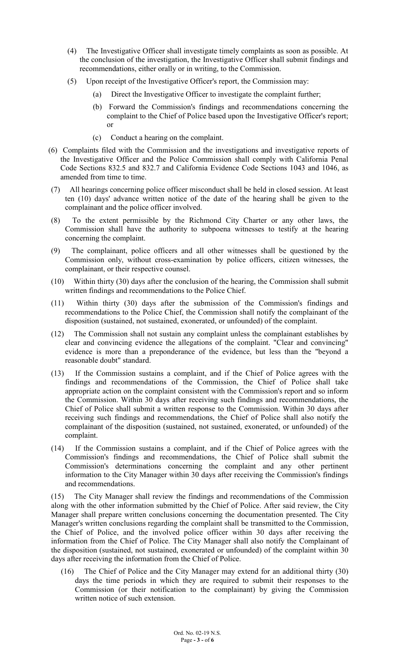- (4) The Investigative Officer shall investigate timely complaints as soon as possible. At the conclusion of the investigation, the Investigative Officer shall submit findings and recommendations, either orally or in writing, to the Commission.
- (5) Upon receipt of the Investigative Officer's report, the Commission may:
	- (a) Direct the Investigative Officer to investigate the complaint further;
	- (b) Forward the Commission's findings and recommendations concerning the complaint to the Chief of Police based upon the Investigative Officer's report; or
	- (c) Conduct a hearing on the complaint.
- (6) Complaints filed with the Commission and the investigations and investigative reports of the Investigative Officer and the Police Commission shall comply with California Penal Code Sections 832.5 and 832.7 and California Evidence Code Sections 1043 and 1046, as amended from time to time.
- (7) All hearings concerning police officer misconduct shall be held in closed session. At least ten (10) days' advance written notice of the date of the hearing shall be given to the complainant and the police officer involved.
- (8) To the extent permissible by the Richmond City Charter or any other laws, the Commission shall have the authority to subpoena witnesses to testify at the hearing concerning the complaint.
- (9) The complainant, police officers and all other witnesses shall be questioned by the Commission only, without cross-examination by police officers, citizen witnesses, the complainant, or their respective counsel.
- (10) Within thirty (30) days after the conclusion of the hearing, the Commission shall submit written findings and recommendations to the Police Chief.
- (11) Within thirty (30) days after the submission of the Commission's findings and recommendations to the Police Chief, the Commission shall notify the complainant of the disposition (sustained, not sustained, exonerated, or unfounded) of the complaint.
- (12) The Commission shall not sustain any complaint unless the complainant establishes by clear and convincing evidence the allegations of the complaint. "Clear and convincing" evidence is more than a preponderance of the evidence, but less than the "beyond a reasonable doubt" standard.
- (13) If the Commission sustains a complaint, and if the Chief of Police agrees with the findings and recommendations of the Commission, the Chief of Police shall take appropriate action on the complaint consistent with the Commission's report and so inform the Commission. Within 30 days after receiving such findings and recommendations, the Chief of Police shall submit a written response to the Commission. Within 30 days after receiving such findings and recommendations, the Chief of Police shall also notify the complainant of the disposition (sustained, not sustained, exonerated, or unfounded) of the complaint.
- (14) If the Commission sustains a complaint, and if the Chief of Police agrees with the Commission's findings and recommendations, the Chief of Police shall submit the Commission's determinations concerning the complaint and any other pertinent information to the City Manager within 30 days after receiving the Commission's findings and recommendations.

(15) The City Manager shall review the findings and recommendations of the Commission along with the other information submitted by the Chief of Police. After said review, the City Manager shall prepare written conclusions concerning the documentation presented. The City Manager's written conclusions regarding the complaint shall be transmitted to the Commission, the Chief of Police, and the involved police officer within 30 days after receiving the information from the Chief of Police. The City Manager shall also notify the Complainant of the disposition (sustained, not sustained, exonerated or unfounded) of the complaint within 30 days after receiving the information from the Chief of Police.

(16) The Chief of Police and the City Manager may extend for an additional thirty (30) days the time periods in which they are required to submit their responses to the Commission (or their notification to the complainant) by giving the Commission written notice of such extension.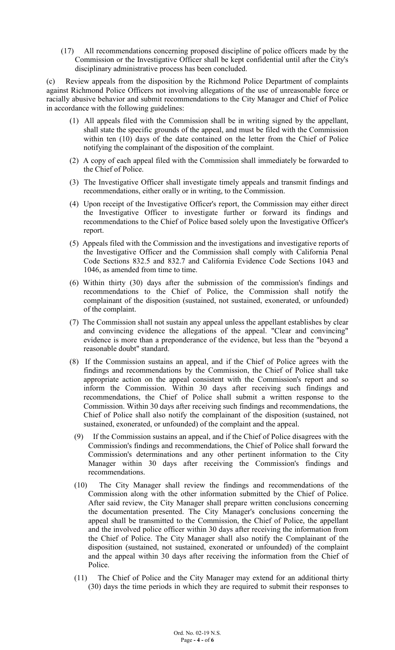(17) All recommendations concerning proposed discipline of police officers made by the Commission or the Investigative Officer shall be kept confidential until after the City's disciplinary administrative process has been concluded.

(c) Review appeals from the disposition by the Richmond Police Department of complaints against Richmond Police Officers not involving allegations of the use of unreasonable force or racially abusive behavior and submit recommendations to the City Manager and Chief of Police in accordance with the following guidelines:

- (1) All appeals filed with the Commission shall be in writing signed by the appellant, shall state the specific grounds of the appeal, and must be filed with the Commission within ten (10) days of the date contained on the letter from the Chief of Police notifying the complainant of the disposition of the complaint.
- (2) A copy of each appeal filed with the Commission shall immediately be forwarded to the Chief of Police.
- (3) The Investigative Officer shall investigate timely appeals and transmit findings and recommendations, either orally or in writing, to the Commission.
- (4) Upon receipt of the Investigative Officer's report, the Commission may either direct the Investigative Officer to investigate further or forward its findings and recommendations to the Chief of Police based solely upon the Investigative Officer's report.
- (5) Appeals filed with the Commission and the investigations and investigative reports of the Investigative Officer and the Commission shall comply with California Penal Code Sections 832.5 and 832.7 and California Evidence Code Sections 1043 and 1046, as amended from time to time.
- (6) Within thirty (30) days after the submission of the commission's findings and recommendations to the Chief of Police, the Commission shall notify the complainant of the disposition (sustained, not sustained, exonerated, or unfounded) of the complaint.
- (7) The Commission shall not sustain any appeal unless the appellant establishes by clear and convincing evidence the allegations of the appeal. "Clear and convincing" evidence is more than a preponderance of the evidence, but less than the "beyond a reasonable doubt" standard.
- (8) If the Commission sustains an appeal, and if the Chief of Police agrees with the findings and recommendations by the Commission, the Chief of Police shall take appropriate action on the appeal consistent with the Commission's report and so inform the Commission. Within 30 days after receiving such findings and recommendations, the Chief of Police shall submit a written response to the Commission. Within 30 days after receiving such findings and recommendations, the Chief of Police shall also notify the complainant of the disposition (sustained, not sustained, exonerated, or unfounded) of the complaint and the appeal.
- (9) If the Commission sustains an appeal, and if the Chief of Police disagrees with the Commission's findings and recommendations, the Chief of Police shall forward the Commission's determinations and any other pertinent information to the City Manager within 30 days after receiving the Commission's findings and recommendations.
- (10) The City Manager shall review the findings and recommendations of the Commission along with the other information submitted by the Chief of Police. After said review, the City Manager shall prepare written conclusions concerning the documentation presented. The City Manager's conclusions concerning the appeal shall be transmitted to the Commission, the Chief of Police, the appellant and the involved police officer within 30 days after receiving the information from the Chief of Police. The City Manager shall also notify the Complainant of the disposition (sustained, not sustained, exonerated or unfounded) of the complaint and the appeal within 30 days after receiving the information from the Chief of Police.
- (11) The Chief of Police and the City Manager may extend for an additional thirty (30) days the time periods in which they are required to submit their responses to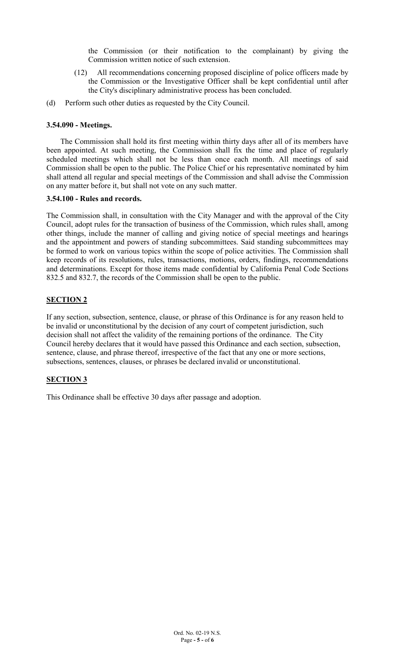the Commission (or their notification to the complainant) by giving the Commission written notice of such extension.

- (12) All recommendations concerning proposed discipline of police officers made by the Commission or the Investigative Officer shall be kept confidential until after the City's disciplinary administrative process has been concluded.
- (d) Perform such other duties as requested by the City Council.

# **3.54.090 - Meetings.**

The Commission shall hold its first meeting within thirty days after all of its members have been appointed. At such meeting, the Commission shall fix the time and place of regularly scheduled meetings which shall not be less than once each month. All meetings of said Commission shall be open to the public. The Police Chief or his representative nominated by him shall attend all regular and special meetings of the Commission and shall advise the Commission on any matter before it, but shall not vote on any such matter.

## **3.54.100 - Rules and records.**

The Commission shall, in consultation with the City Manager and with the approval of the City Council, adopt rules for the transaction of business of the Commission, which rules shall, among other things, include the manner of calling and giving notice of special meetings and hearings and the appointment and powers of standing subcommittees. Said standing subcommittees may be formed to work on various topics within the scope of police activities. The Commission shall keep records of its resolutions, rules, transactions, motions, orders, findings, recommendations and determinations. Except for those items made confidential by California Penal Code Sections 832.5 and 832.7, the records of the Commission shall be open to the public.

# **SECTION 2**

If any section, subsection, sentence, clause, or phrase of this Ordinance is for any reason held to be invalid or unconstitutional by the decision of any court of competent jurisdiction, such decision shall not affect the validity of the remaining portions of the ordinance. The City Council hereby declares that it would have passed this Ordinance and each section, subsection, sentence, clause, and phrase thereof, irrespective of the fact that any one or more sections, subsections, sentences, clauses, or phrases be declared invalid or unconstitutional.

# **SECTION 3**

This Ordinance shall be effective 30 days after passage and adoption.